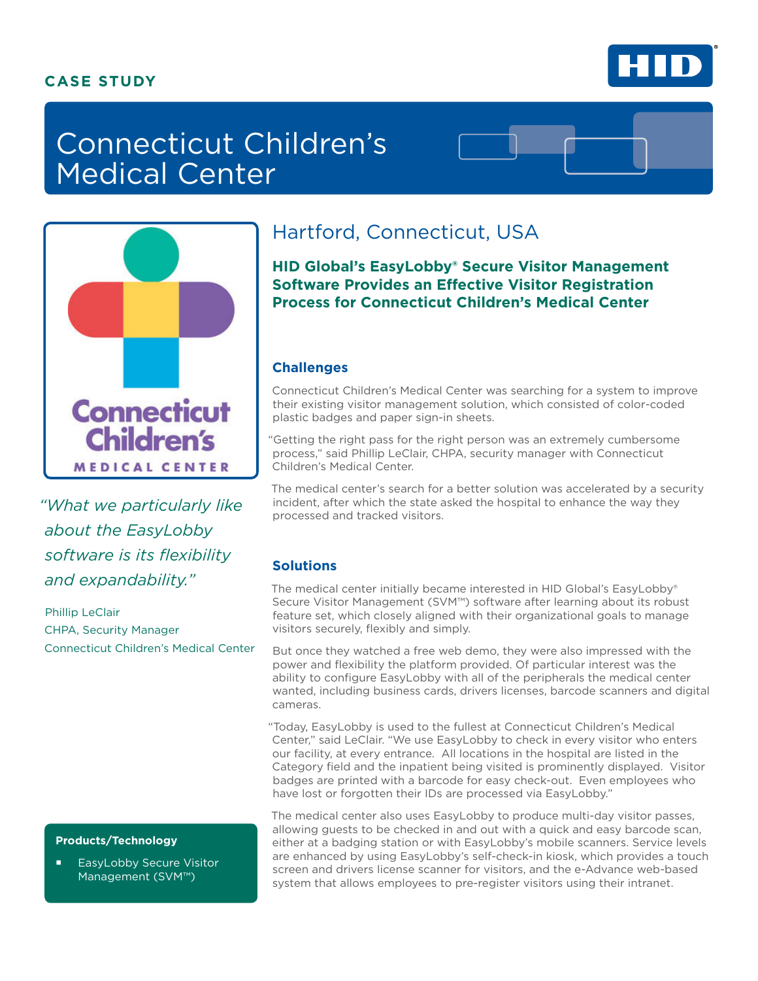### **CASE STUDY**



# Connecticut Children's Medical Center



*"What we particularly like about the EasyLobby software is its flexibility and expandability."* 

Phillip LeClair CHPA, Security Manager Connecticut Children's Medical Center

#### **Products/Technology**

 EasyLobby Secure Visitor Management (SVM™)

# Hartford, Connecticut, USA

**HID Global's EasyLobby® Secure Visitor Management Software Provides an Effective Visitor Registration Process for Connecticut Children's Medical Center**

#### **Challenges**

Connecticut Children's Medical Center was searching for a system to improve their existing visitor management solution, which consisted of color-coded plastic badges and paper sign-in sheets.

"Getting the right pass for the right person was an extremely cumbersome process," said Phillip LeClair, CHPA, security manager with Connecticut Children's Medical Center.

The medical center's search for a better solution was accelerated by a security incident, after which the state asked the hospital to enhance the way they processed and tracked visitors.

#### **Solutions**

The medical center initially became interested in HID Global's EasyLobby® Secure Visitor Management (SVM™) software after learning about its robust feature set, which closely aligned with their organizational goals to manage visitors securely, flexibly and simply.

But once they watched a free web demo, they were also impressed with the power and flexibility the platform provided. Of particular interest was the ability to configure EasyLobby with all of the peripherals the medical center wanted, including business cards, drivers licenses, barcode scanners and digital cameras.

"Today, EasyLobby is used to the fullest at Connecticut Children's Medical Center," said LeClair. "We use EasyLobby to check in every visitor who enters our facility, at every entrance. All locations in the hospital are listed in the Category field and the inpatient being visited is prominently displayed. Visitor badges are printed with a barcode for easy check-out. Even employees who have lost or forgotten their IDs are processed via EasyLobby."

The medical center also uses EasyLobby to produce multi-day visitor passes, allowing guests to be checked in and out with a quick and easy barcode scan, either at a badging station or with EasyLobby's mobile scanners. Service levels are enhanced by using EasyLobby's self-check-in kiosk, which provides a touch screen and drivers license scanner for visitors, and the e-Advance web-based system that allows employees to pre-register visitors using their intranet.